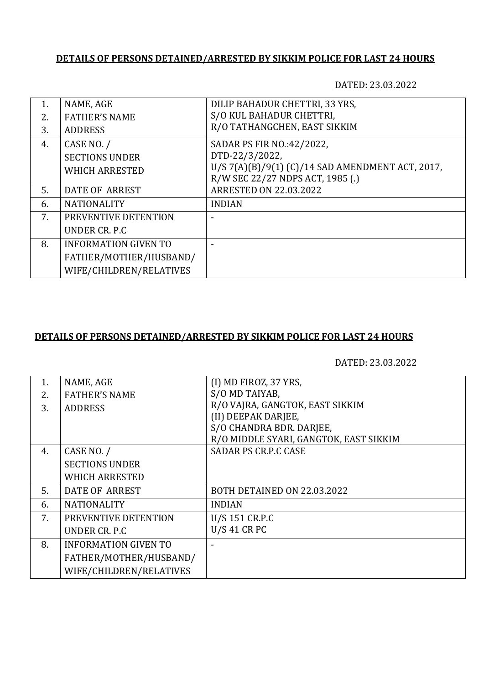## **DETAILS OF PERSONS DETAINED/ARRESTED BY SIKKIM POLICE FOR LAST 24 HOURS**

DATED: 23.03.2022

| 1. | NAME, AGE                   | DILIP BAHADUR CHETTRI, 33 YRS,                   |
|----|-----------------------------|--------------------------------------------------|
| 2. | <b>FATHER'S NAME</b>        | S/O KUL BAHADUR CHETTRI,                         |
| 3. | <b>ADDRESS</b>              | R/O TATHANGCHEN, EAST SIKKIM                     |
| 4. | CASE NO. /                  | SADAR PS FIR NO.:42/2022,                        |
|    | <b>SECTIONS UNDER</b>       | DTD-22/3/2022,                                   |
|    | <b>WHICH ARRESTED</b>       | U/S 7(A)(B)/9(1) (C)/14 SAD AMENDMENT ACT, 2017, |
|    |                             | R/W SEC 22/27 NDPS ACT, 1985 (.)                 |
| 5. | DATE OF ARREST              | <b>ARRESTED ON 22.03.2022</b>                    |
| 6. | <b>NATIONALITY</b>          | <b>INDIAN</b>                                    |
| 7. | PREVENTIVE DETENTION        |                                                  |
|    | UNDER CR. P.C.              |                                                  |
| 8. | <b>INFORMATION GIVEN TO</b> |                                                  |
|    | FATHER/MOTHER/HUSBAND/      |                                                  |
|    | WIFE/CHILDREN/RELATIVES     |                                                  |

## **DETAILS OF PERSONS DETAINED/ARRESTED BY SIKKIM POLICE FOR LAST 24 HOURS**

DATED: 23.03.2022

| 1. | NAME, AGE                   | (I) MD FIROZ, 37 YRS,                  |
|----|-----------------------------|----------------------------------------|
| 2. | <b>FATHER'S NAME</b>        | S/O MD TAIYAB,                         |
| 3. | <b>ADDRESS</b>              | R/O VAJRA, GANGTOK, EAST SIKKIM        |
|    |                             | (II) DEEPAK DARJEE,                    |
|    |                             | S/O CHANDRA BDR. DARJEE,               |
|    |                             | R/O MIDDLE SYARI, GANGTOK, EAST SIKKIM |
| 4. | CASE NO. /                  | <b>SADAR PS CR.P.C CASE</b>            |
|    | <b>SECTIONS UNDER</b>       |                                        |
|    | WHICH ARRESTED              |                                        |
| 5. | DATE OF ARREST              | BOTH DETAINED ON 22.03.2022            |
| 6. | <b>NATIONALITY</b>          | <b>INDIAN</b>                          |
| 7. | PREVENTIVE DETENTION        | U/S 151 CR.P.C                         |
|    | UNDER CR. P.C.              | <b>U/S 41 CR PC</b>                    |
| 8. | <b>INFORMATION GIVEN TO</b> |                                        |
|    | FATHER/MOTHER/HUSBAND/      |                                        |
|    | WIFE/CHILDREN/RELATIVES     |                                        |